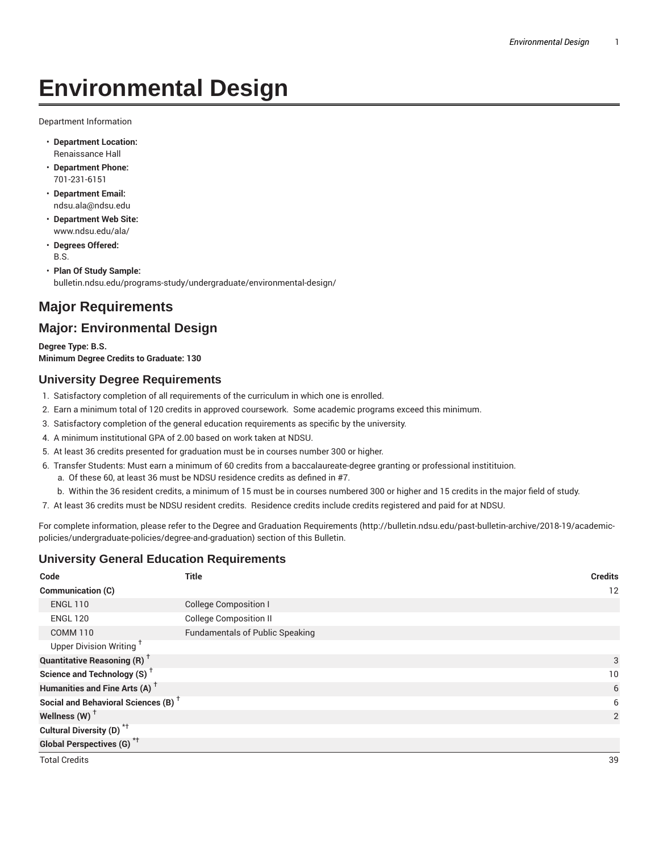# **Environmental Design**

Department Information

- **Department Location:** Renaissance Hall
- **Department Phone:** 701-231-6151
- **Department Email:** ndsu.ala@ndsu.edu
- **Department Web Site:** www.ndsu.edu/ala/
- **Degrees Offered:** B.S.
- **Plan Of Study Sample:** bulletin.ndsu.edu/programs-study/undergraduate/environmental-design/

## **Major Requirements**

## **Major: Environmental Design**

**Degree Type: B.S. Minimum Degree Credits to Graduate: 130**

#### **University Degree Requirements**

- 1. Satisfactory completion of all requirements of the curriculum in which one is enrolled.
- 2. Earn a minimum total of 120 credits in approved coursework. Some academic programs exceed this minimum.
- 3. Satisfactory completion of the general education requirements as specific by the university.
- 4. A minimum institutional GPA of 2.00 based on work taken at NDSU.
- 5. At least 36 credits presented for graduation must be in courses number 300 or higher.
- 6. Transfer Students: Must earn a minimum of 60 credits from a baccalaureate-degree granting or professional institituion.
	- a. Of these 60, at least 36 must be NDSU residence credits as defined in #7.
	- b. Within the 36 resident credits, a minimum of 15 must be in courses numbered 300 or higher and 15 credits in the major field of study.
- 7. At least 36 credits must be NDSU resident credits. Residence credits include credits registered and paid for at NDSU.

For complete information, please refer to the Degree and Graduation Requirements (http://bulletin.ndsu.edu/past-bulletin-archive/2018-19/academicpolicies/undergraduate-policies/degree-and-graduation) section of this Bulletin.

#### **University General Education Requirements**

| Code                                            | <b>Title</b>                           | <b>Credits</b> |
|-------------------------------------------------|----------------------------------------|----------------|
| Communication (C)                               |                                        | 12             |
| <b>ENGL 110</b>                                 | <b>College Composition I</b>           |                |
| <b>ENGL 120</b>                                 | <b>College Composition II</b>          |                |
| <b>COMM 110</b>                                 | <b>Fundamentals of Public Speaking</b> |                |
| Upper Division Writing <sup>+</sup>             |                                        |                |
| <b>Quantitative Reasoning (R)</b> <sup>+</sup>  |                                        | 3              |
| Science and Technology (S) <sup>+</sup>         |                                        | 10             |
| Humanities and Fine Arts (A) <sup>+</sup>       |                                        | 6              |
| Social and Behavioral Sciences (B) <sup>+</sup> |                                        | 6              |
| Wellness $(W)$ <sup>+</sup>                     |                                        | $\overline{2}$ |
| Cultural Diversity (D) <sup>*†</sup>            |                                        |                |
| <b>Global Perspectives (G)</b> <sup>*†</sup>    |                                        |                |
| <b>Total Credits</b>                            |                                        | 39             |